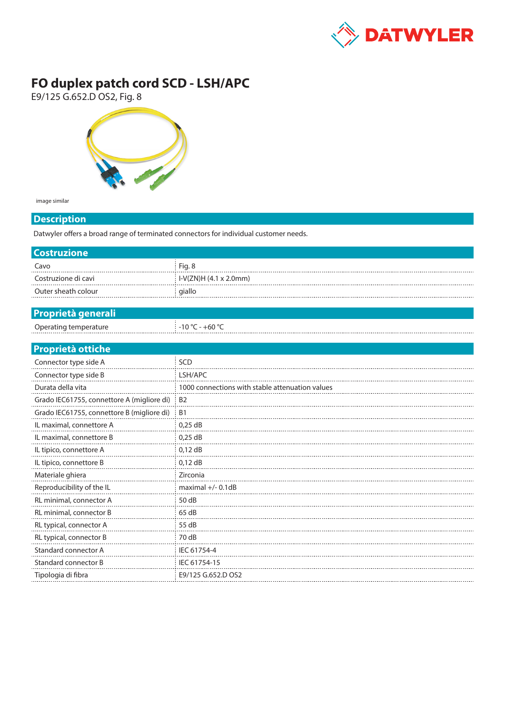

## **FO duplex patch cord SCD - LSH/APC**

E9/125 G.652.D OS2, Fig. 8



image similar

## **Description**

Datwyler offers a broad range of terminated connectors for individual customer needs.

| <b>Costruzione</b>                         |                                                 |  |  |
|--------------------------------------------|-------------------------------------------------|--|--|
| Cavo                                       | Fig. 8                                          |  |  |
| Costruzione di cavi                        | I-V(ZN)H (4.1 x 2.0mm)                          |  |  |
| Outer sheath colour                        | giallo                                          |  |  |
|                                            |                                                 |  |  |
| <b>Proprietà generali</b>                  |                                                 |  |  |
| Operating temperature                      | $-10 °C - +60 °C$                               |  |  |
|                                            |                                                 |  |  |
| <b>Proprietà ottiche</b>                   |                                                 |  |  |
| Connector type side A                      | SCD                                             |  |  |
| Connector type side B                      | LSH/APC                                         |  |  |
| Durata della vita                          | 1000 connections with stable attenuation values |  |  |
| Grado IEC61755, connettore A (migliore di) | <b>B2</b>                                       |  |  |
| Grado IEC61755, connettore B (migliore di) | <b>B1</b>                                       |  |  |
| IL maximal, connettore A                   | $0,25$ dB                                       |  |  |
| IL maximal, connettore B                   | $0,25$ dB                                       |  |  |
| IL tipico, connettore A                    | $0,12$ dB                                       |  |  |
| IL tipico, connettore B                    | $0,12$ dB                                       |  |  |
| Materiale ghiera                           | Zirconia                                        |  |  |
| Reproducibility of the IL                  | maximal $+/- 0.1dB$                             |  |  |
| RL minimal, connector A                    | 50 dB                                           |  |  |
| RL minimal, connector B                    | 65 dB                                           |  |  |
| RL typical, connector A                    | 55 dB                                           |  |  |
| RL typical, connector B                    | 70 dB                                           |  |  |
| Standard connector A                       | IEC 61754-4                                     |  |  |
| Standard connector B                       | IEC 61754-15                                    |  |  |
| Tipologia di fibra                         | E9/125 G.652.D OS2                              |  |  |